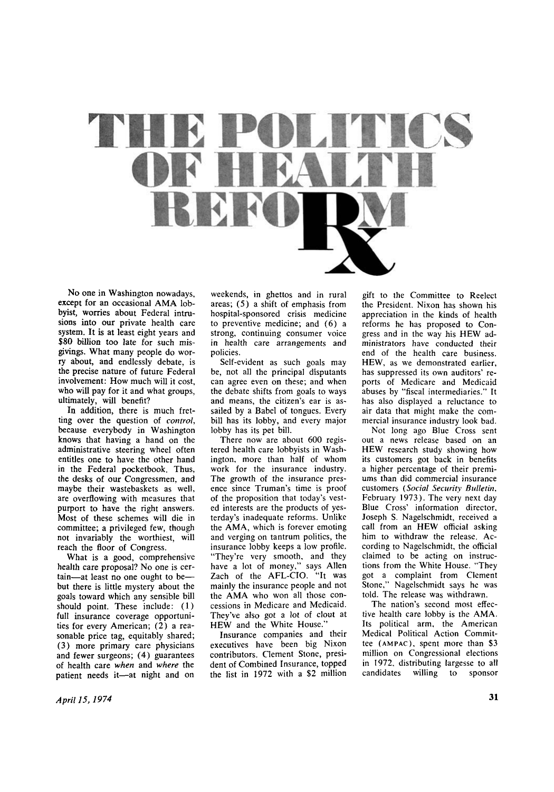

No one in Washington nowadays, except for an occasional AMA lobbyist, worries about Federal intrusions into our private health care system. It is at least eight years and **\$80** billion too late for such misgivings. What many people do worry about, and endlessly debate, is the precise nature of future Federal involvement: How much will it cost, who will pay for it and what groups, ultimately, will benefit?

In addition, there is much fretting over the question of *control,*  because everybody in Washington knows that having a hand on the administrative steering wheel often entitles one to have the other hand in the Federal pocketbook. Thus, the desks of our Congressmen, and maybe their wastebaskets as well, are overflowing with measures that purport to have the right answers. Most of these schemes will die in committee; a privileged few, though not invariably the worthiest, will reach the floor of Congress.

What is a good, comprehensive health care proposal? No one is certain—at least no one ought to be but there is little mystery about the goals toward which any sensible bill should point. These include: (1) full insurance coverage opportunities for every American; (2) a reasonable price tag, equitably shared; (3) more primary care physicians and fewer surgeons; (4) guarantees of health care *when* and *where* the patient needs it—at night and on

weekends, in ghettos and in rural areas; (5) a shift of emphasis from hospital-sponsored crisis medicine to preventive medicine; and (6) a strong, continuing consumer voice in health care arrangements and policies.

Self-evident as such goals may be, not all the principal disputants can agree even on these; and when the debate shifts from goals to ways and means, the citizen's ear is assailed by a Babel of tongues. Every bill has its lobby, and every major lobby has its pet bill.

There now are about 600 registered health care lobbyists in Washington, more than half of whom work for the insurance industry. The growth of the insurance presence since Truman's time is proof of the proposition that today's vested interests are the products of yesterday's inadequate reforms. Unlike the AMA, which is forever emoting and verging on tantrum politics, the insurance lobby keeps a low profile. "They're very smooth, and they have a lot of money," says Allen Zach of the AFL-CIO. "It was mainly the insurance people and not the AMA who won all those concessions in Medicare and Medicaid. They've also got a lot of clout at HEW and the White House.'

Insurance companies and their executives have been big Nixon contributors. Clement Stone, president of Combined Insurance, topped the list in 1972 with a \$2 million

gift to the Committee to Reelect the President. Nixon has shown his appreciation in the kinds of health reforms he has proposed to Congress and in the way his HEW administrators have conducted their end of the health care business. HEW, as we demonstrated earlier, has suppressed its own auditors' reports of Medicare and Medicaid abuses by "fiscal intermediaries." It has also displayed a reluctance to air data that might make the commercial insurance industry look bad.

Not long ago Blue Cross sent out a news release based on an HEW research study showing how its customers got back in benefits a higher percentage of their premiums than did commercial insurance customers *(Social Security Bulletin,*  February 1973). The very next day Blue Cross' information director, loseph S. Nagelschmidt, received a call from an HEW official asking him to withdraw the release. Ac cording to Nagelschmidt, the official claimed to be acting on instructions from the White House. "They got a complaint from Clement Stone," Nagelschmidt says he was told. The release was withdrawn.

The nation's second most effective health care lobby is the AMA. Its political arm, the American Medical Political Action Committee (**AMPAC** ), spent more than \$3 million on Congressional elections in 1972, distributing largesse to all candidates willing to sponsor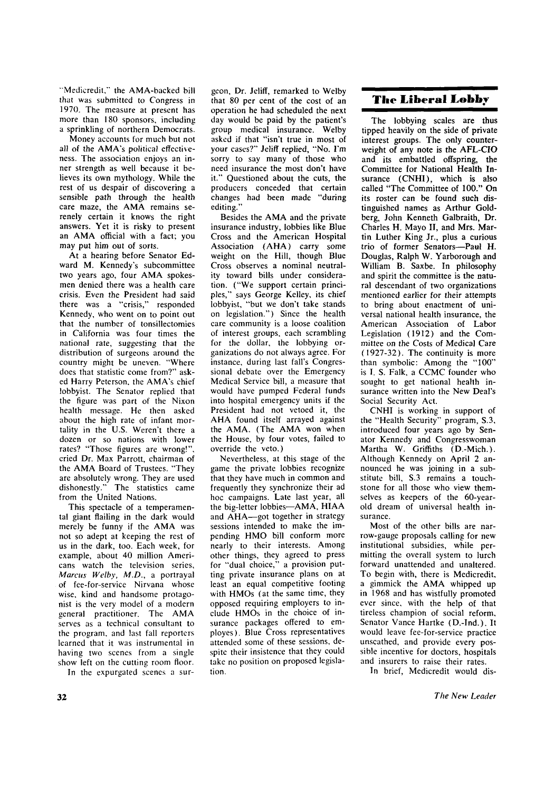"Medicredit," the AMA-backed bill that was submitted to Congress in 1970. The measure at present has more than 180 sponsors, including a sprinkling of northern Democrats.

Money accounts for much but not all of the AMA's political effectiveness. The association enjoys an inner strength as well because it believes its own mythology. While the rest of us despair of discovering a sensible path through the health care maze, the AMA remains serenely certain it knows the right answers. Yet it is risky to present an AMA official with a fact; you may put him out of sorts.

At a hearing before Senator Ed ward M. Kennedy's subcommittee two years ago, four AMA spokesmen denied there was a health care crisis. Even the President had said there was a "crisis," responded Kennedy, who went on to point out that the number of tonsillectomies in California was four times the national rate, suggesting that the distribution of surgeons around the country might be uneven. "Where does that statistic come from?" asked Harry Peterson, the AMA's chief lobbyist. The Senator replied that the figure was part of the Nixon health message. He then asked about the high rate of infant mortality in the U.S. Weren't there a dozen or so nations with lower rates? "Those figures are wrong!", cried Dr. Max Parrott, chairman of the AMA Board of Trustees. "They are absolutely wrong. They are used dishonestly." The statistics came from the United Nations.

This spectacle of a temperamental giant flailing in the dark would merely be funny if the AMA was not so adept at keeping the rest of us in the dark, too. Each week, for example, about 40 million Americans watch the television series, *Marcus Welby, M.D.,* a portrayal of fee-for-service Nirvana whose wise, kind and handsome protagonist is the very model of a modern general practitioner. The AMA serves as a technical consultant to the program, and last fall reporters learned that it was instrumental in having two scenes from a single show left on the cutting room floor.

In the expurgated scenes a sur-

geon. Dr. Jeliff, remarked to Welby that 80 per cent of the cost of an operation he had scheduled the next day would be paid by the patient's group medical insurance. Welby asked if that "isn't true in most of your cases?" Jeliff replied, "No. I'm sorry to say many of those who need insurance the most don't have it." Questioned about the cuts, the producers conceded that certain changes had been made "during editing."

Besides the AMA and the private insurance industry, lobbies like Blue Cross and the American Hospital Association (AHA) carry some weight on the Hill, though Blue Cross observes a nominal neutrality toward bills under consideration. ("We support certain principles," says George Kelley, its chief lobbyist, "but we don't take stands on legislation.") Since the health care community is a loose coalition of interest groups, each scrambling for the dollar, the lobbying organizations do not always agree. For instance, during last fall's Congressional debate over the Emergency Medical Service bill, a measure that would have pumped Federal funds into hospital emergency units if the President had not vetoed it, the AHA found itself arrayed against the AMA. (The AMA won when the House, by four votes, failed to override the veto.)

Nevertheless, at this stage of the game the private lobbies recognize that they have much in common and frequently they synchronize their ad hoc campaigns. Late last year, all the big-letter lobbies-AMA, HIAA and AHA-got together in strategy sessions intended to make the impending HMO bill conform more nearly to their interests. Among other things, they agreed to press for "dual choice," a provision putting private insurance plans on at least an equal competitive footing with HMOs (at the same time, they opposed requiring employers to include HMO<sub>s</sub> in the choice of insurance packages offered to employes). Blue Cross representatives attended some of these sessions, despite their insistence that they could take no position on proposed legislation.

## **The Liberal Lobby**

The lobbying scales are thus tipped heavily on the side of private interest groups. The only counterweight of any note is the  $AFL-ClO$ and its embattled offspring, the Committee for National Health Insurance (CNHI), which is also called "The Committee of 100." On its roster can be found such distinguished names as Arthur Goldberg, John Kenneth Galbraith, Dr. Charles H. Mayo II, and Mrs. Martin Luther King Jr., plus a curious trio of former Senators-Paul H. Douglas, Ralph W. Yarborough and William B. Saxbe. In philosophy and spirit the committee is the natural descendant of two organizations mentioned earlier for their attempts to bring about enactment of universal national health insurance, the American Association of Labor Legislation (1912) and the Committee on the Costs of Medical Care (1927-32). The continuity is more than symbolic: Among the "100" is I. S. Falk, a CCMC founder who sought to get national health insurance written into the New Deal's Social Security Act.

CNHI is working in support of the "Health Security" program, S.3, introduced four years ago by Senator Kennedy and Congresswoman Martha W. Griffiths (D.-Mich.). Although Kennedy on April 2 announced he was joining in a substitute bill, S.3 remains a touchstone for all those who view themselves as keepers of the 60-yearold dream of universal health insurance.

Most of the other bills are narrow-gauge proposals calling for new institutional subsidies, while permitting the overall system to lurch forward unattended and unaltered. To begin with, there is Medicredit, a gimmick the AMA whipped up in 1968 and has wistfully promoted ever since, with the help of that tireless champion of social reform. Senator Vance Hartke (D.-Ind.). It would leave fee-for-service practice unscathed, and provide every possible incentive for doctors, hospitals and insurers to raise their rates.

In brief, Medicredit would dis-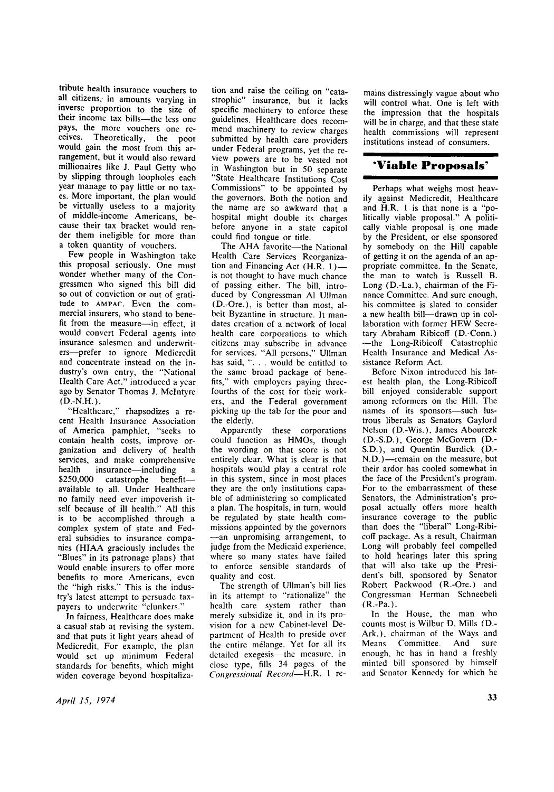tribute health insurance vouchers to all citizens, in amounts varying in inverse proportion to the size of their income tax bills—the less one pays, the more vouchers one receives. Theoretically, the poor would gain the most from this arrangement, but it would also reward millionaires like J. Paul Getty who by slipping through loopholes each year manage to pay little or no taxes. More important, the plan would be virtually useless to a majority of middle-income Americans, because their tax bracket would render them ineligible for more than a token quantity of vouchers.

Few people in Washington take this proposal seriously. One must wonder whether many of the Congressmen who signed this bill did so out of conviction or out of gratitude to **AMPAC**. Even the commercial insurers, who stand to benefit from the measure—in effect, it would convert Federal agents into insurance salesmen and underwriters—prefer to ignore Medicredit and concentrate instead on the industry's own entry, the "National Health Care Act," introduced a year ago by Senator Thomas J. Mclntyre  $(D.-N.H.).$ 

"Healthcare," rhapsodizes a recent Health Insurance Association of America pamphlet, "seeks to contain health costs, improve organization and delivery of health services, and make comprehensive health insurance—including \$250,000 catastrophe benefitavailable to all. Under Healthcare no family need ever impoverish itself because of ill health." All this is to be accomplished through a complex system of state and Federal subsidies to insurance companies (HIAA graciously includes the "Blues" in its patronage plans) that would enable insurers to offer more benefits to more Americans, even the "high risks." This is the industhe linguistics. This is the mous- $\mu$  is taken all  $\mu$  to persuade ta

In fairness, Healthcare does make a casual stab at revising the system, and that puts it light years ahead of Medicredit. For example, the plan would set up minimum Federal standards for benefits, which might widen coverage beyond hospitaliza-

tion and raise the ceiling on "catastrophic" insurance, but it lacks specific machinery to enforce these guidelines. Healthcare does recommend machinery to review charges submitted by health care providers under Federal programs, yet the review powers are to be vested not in Washington but in 50 separate "State Healthcare Institutions Cost Commissions" to be appointed by the governors. Both the notion and the name are so awkward that a hospital might double its charges before anyone in a state capitol could find tongue or title.

The AHA favorite—the National Health Care Services Reorganization and Financing Act (H.R. 1) is not thought to have much chance of passing either. The bill, introduced by Congressman Al Ullman (D.-Ore.), is better than most, albeit Byzantine in structure. It mandates creation of a network of local health care corporations to which citizens may subscribe in advance for services. "All persons," Ullman has said, ". . . would be entitled to the same broad package of benefits," with employers paying threefourths of the cost for their workers, and the Federal government picking up the tab for the poor and the elderly.

Apparently these corporations could function as HMOs, though the wording on that score is not entirely clear. What is clear is that hospitals would play a central role in this system, since in most places they are the only institutions capable of administering so complicated a plan. The hospitals, in turn, would be regulated by state health commissions appointed by the governors —an unpromising arrangement, to judge from the Medicaid experience, where so many states have failed to enforce sensible standards of quality and cost.

The strength of Ullman's bill lies in its attempt to "rationalize" the health care system rather than merely subsidize it. and in its provision for a new Cabinet-level Department of Health to preside over the entire melange. Yet for all its detailed exegesis—the measure, in close type, fills 34 pages of the *Congressional Record*—H.R. 1 remains distressingly vague about who will control what. One is left with the impression that the hospitals will be in charge, and that these state health commissions will represent institutions instead of consumers.

## **'Viable Proposals'**

Perhaps what weighs most heavily against Medicredit, Healthcare and H.R. 1 is that none is a "politically viable proposal." A politically viable proposal is one made by the President, or else sponsored by somebody on the Hill capable of getting it on the agenda of an appropriate committee. In the Senate, the man to watch is Russell B. Long (D.-La.), chairman of the Fi nance Committee. And sure enough, his committee is slated to consider a new health bill—drawn up in collaboration with former HEW Secretary Abraham Ribicoff (D.-Conn.) —the Long-Ribicoff Catastrophic Health Insurance and Medical Assistance Reform Act.

Before Nixon introduced his latest health plan, the Long-Ribicoff bill enjoyed considerable support among reformers on the Hill. The names of its sponsors—such lustrous liberals as Senators Gaylord Nelson (D.-Wis.), James Abourezk (D.-S.D.), George McGovern (D.- S.D.), and Quentin Burdick (D.- N.D.)—remain on the measure, but their ardor has cooled somewhat in the face of the President's program. For to the embarrassment of these Senators, the Administration's proposal actually offers more health insurance coverage to the public than does the "liberal" Long-Ribicoff package. As a result, Chairman Long will probably feel compelled to hold hearings later this spring that will also take up the President's bill, sponsored by Senator Robert Packwood (R.-Ore.) and Congressman Herman Schneebeli (R.-Pa.).

In the House, the man who counts most is Wilbur D. Mills (D - Ark.), chairman of the Ways and Means Committee. And sure enough, he has in hand a freshly minted bill sponsored by himself and Senator Kennedy for which he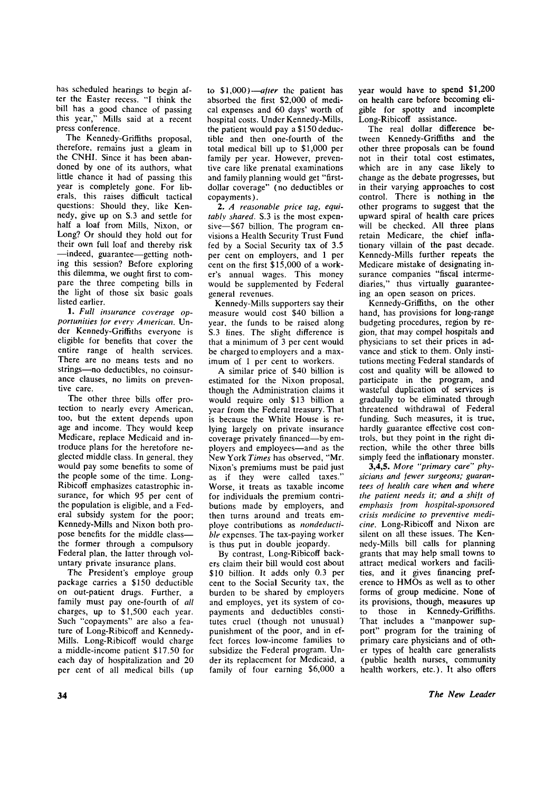has scheduled hearings to begin after the Easter recess. "I think the bill has a good chance of passing this year," Mills said at a recent press conference.

The Kennedy-Griffiths proposal, therefore, remains just a gleam in the CNHI. Since it has been abandoned by one of its authors, what little chance it had of passing this year is completely gone. For liberals, this raises difficult tactical questions: Should they, like Kennedy, give up on S.3 and setde for half a loaf from Mills, Nixon, or Long? Or should they hold out for their own full loaf and thereby risk —indeed, guarantee—getting nothing this session? Before exploring this dilemma, we ought first to compare the three competing bills in the light of those six basic goals listed earlier.

**1.** *Full insurance coverage opportunities for every American.* Un der Kennedy-Griffiths everyone is eligible for benefits that cover the entire range of health services. There are no means tests and no strings—no deductibles, no coinsurance clauses, no limits on preventive care.

The other three bills offer protection to nearly every American, too, but the extent depends upon age and income. They would keep Medicare, replace Medicaid and introduce plans for the heretofore neglected middle class. In general, they would pay some benefits to some of the people some of the time. Long-Ribicoff emphasizes catastrophic insurance, for which 95 per cent of the population is eligible, and a Federal subsidy system for the poor; Kennedy-Mills and Nixon both propose benefits for the middle class the former through a compulsory Federal plan, the latter through voluntary private insurance plans.

The President's employe group package carries a \$150 deductible on out-patient drugs. Further, a family must pay one-fourth of *all*  charges, up to \$1,500 each year. Such "copayments" are also a feature of Long-Ribicoff and Kennedy-Mills. Long-Ribicoff would charge a middle-income patient \$17.50 for each day of hospitalization and 20 per cent of all medical bills (up to \$1,000)—*after* the patient has absorbed the first \$2,000 of medical expenses and 60 days' worth of hospital costs. Under Kennedy-Mills, the patient would pay a \$150 deductible and then one-fourth of the total medical bill up to \$1,000 per family per year. However, preventive care like prenatal examinations and family planning would get "firstdollar coverage" (no deductibles or copayments).

**2.** *A reasonable price tag, equitably shared.* S.3 is the most expensive—\$67 billion. The program envisions a Health Security Trust Fund fed by a Social Security tax of 3.5 per cent on employers, and 1 per cent on the first \$15,000 of a worker's annual wages. This money would be supplemented by Federal general revenues.

Kennedy-Mills supporters say their measure would cost \$40 billion a year, the funds to be raised along S.3 lines. The slight difference is that a minimum of 3 per cent would be charged to employers and a maximum of 1 per cent to workers.

A similar price of \$40 billion is estimated for the Nixon proposal, though the Administration claims it would require only \$13 billion a year from the Federal treasury. That is because the White House is relying largely on private insurance coverage privately financed—by employers and employees—and as the New York *Times* has observed, "Mr. Nixon's premiums must be paid just as if they were called taxes." Worse, it treats as taxable income for individuals the premium contributions made by employers, and then turns around and treats employe contributions as *nondeductible* expenses. The tax-paying worker is thus put in double jeopardy.

By contrast, Long-Ribicoff backers claim their bill would cost about \$10 billion. It adds only 0.3 per cent to the Social Security tax, the burden to be shared by employers and employes, yet its system of copayments and deductibles constitutes cruel (though not unusual) punishment of the poor, and in effect forces low-income families to subsidize the Federal program. Un der its replacement for Medicaid, a family of four earning \$6,000 a year would have to spend \$1,200 on health care before becoming eligible for spotty and incomplete Long-Ribicoff assistance.

The real dollar difference between Kennedy-Griffiths and the other three proposals can be found not in their total cost estimates, which are in any case likely to change as the debate progresses, but in their varying approaches to cost control. There is nothing in the other programs to suggest that the upward spiral of health care prices will be checked. All three plans retain Medicare, the chief inflationary villain of the past decade. Kennedy-Mills further repeats the Medicare mistake of designating insurance companies "fiscal intermediaries," thus virtually guaranteeing an open season on prices.

Kennedy-Griffiths, on the other hand, has provisions for long-range budgeting procedures, region by region, that may compel hospitals and physicians to set their prices in advance and stick to them. Only institutions meeting Federal standards of cost and quality will be allowed to participate in the program, and wasteful duplication of services is gradually to be eliminated through threatened withdrawal of Federal funding. Such measures, it is true, hardly guarantee effective cost controls, but they point in the right direction, while the other three bills simply feed the inflationary monster.

**3,4,5.** *More "primary care" physicians and fewer surgeons; guarantees of health care when and where the patient needs it; and a shift of emphasis from hospital-sponsored crisis medicine to preventive medicine.* Long-Ribicoff and Nixon are silent on all these issues. The Kennedy-Mills bill calls for planning grants that may help small towns to attract medical workers and facilities, and it gives financing preference to HMOs as well as to other forms of group medicine. None of its provisions, though, measures up to those in Kennedy-Griffiths. That includes a "manpower support" program for the training of primary care physicians and of other types of health care generalists (public health nurses, community health workers, etc.). It also offers